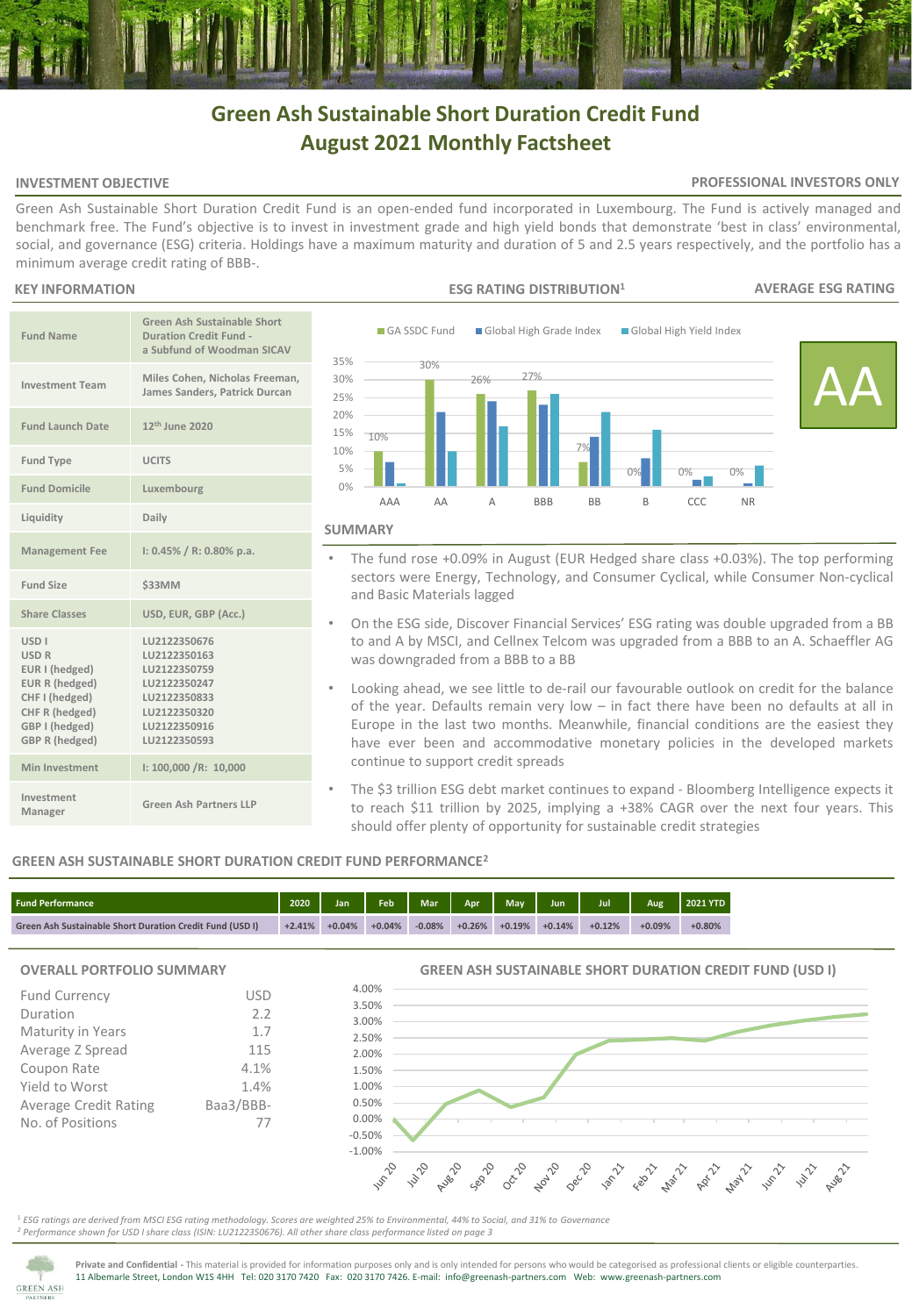# **Green Ash Sustainable Short Duration Credit Fund August 2021 Monthly Factsheet**

# **INVESTMENT OBJECTIVE**

## **PROFESSIONAL INVESTORS ONLY**

Green Ash Sustainable Short Duration Credit Fund is an open-ended fund incorporated in Luxembourg. The Fund is actively managed and benchmark free. The Fund's objective is to invest in investment grade and high yield bonds that demonstrate 'best in class' environmental, social, and governance (ESG) criteria. Holdings have a maximum maturity and duration of 5 and 2.5 years respectively, and the portfolio has a minimum average credit rating of BBB-.

## **KEY INFORMATION**

| <b>Fund Name</b>                                                                                                                                          | Green Ash Sustainable Short<br>Duration Credit Fund -<br>a Subfund of Woodman SICAV                                          |  |  |  |  |  |  |  |
|-----------------------------------------------------------------------------------------------------------------------------------------------------------|------------------------------------------------------------------------------------------------------------------------------|--|--|--|--|--|--|--|
| <b>Investment Team</b>                                                                                                                                    | Miles Cohen, Nicholas Freeman,<br>James Sanders, Patrick Durcan                                                              |  |  |  |  |  |  |  |
| <b>Fund Launch Date</b>                                                                                                                                   | 12 <sup>th</sup> June 2020                                                                                                   |  |  |  |  |  |  |  |
| <b>Fund Type</b>                                                                                                                                          | <b>UCITS</b>                                                                                                                 |  |  |  |  |  |  |  |
| <b>Fund Domicile</b>                                                                                                                                      | Luxembourg                                                                                                                   |  |  |  |  |  |  |  |
| Liquidity                                                                                                                                                 | Daily                                                                                                                        |  |  |  |  |  |  |  |
| <b>Management Fee</b>                                                                                                                                     | $1: 0.45\% / R: 0.80\%$ p.a.                                                                                                 |  |  |  |  |  |  |  |
| Fund Size                                                                                                                                                 | \$33MM                                                                                                                       |  |  |  |  |  |  |  |
| <b>Share Classes</b>                                                                                                                                      | USD, EUR, GBP (Acc.)                                                                                                         |  |  |  |  |  |  |  |
| <b>USD<sub>I</sub></b><br><b>USD R</b><br>EUR I (hedged)<br>EUR R (hedged)<br>CHF I (hedged)<br>CHF R (hedged)<br>GBP I (hedged)<br><b>GBP R (hedged)</b> | LU2122350676<br>LU2122350163<br>LU2122350759<br>LU2122350247<br>LU2122350833<br>LU2122350320<br>LU2122350916<br>LU2122350593 |  |  |  |  |  |  |  |
| Min Investment                                                                                                                                            | 1: 100,000 / R: 10,000                                                                                                       |  |  |  |  |  |  |  |
| Investment<br>Manager                                                                                                                                     | Green Ash Partners LLP                                                                                                       |  |  |  |  |  |  |  |



- The fund rose +0.09% in August (EUR Hedged share class +0.03%). The top performing sectors were Energy, Technology, and Consumer Cyclical, while Consumer Non-cyclical and Basic Materials lagged
- On the ESG side, Discover Financial Services' ESG rating was double upgraded from a BB to and A by MSCI, and Cellnex Telcom was upgraded from a BBB to an A. Schaeffler AG was downgraded from a BBB to a BB
- Looking ahead, we see little to de-rail our favourable outlook on credit for the balance of the year. Defaults remain very low – in fact there have been no defaults at all in Europe in the last two months. Meanwhile, financial conditions are the easiest they have ever been and accommodative monetary policies in the developed markets continue to support credit spreads
- The \$3 trillion ESG debt market continues to expand Bloomberg Intelligence expects it to reach \$11 trillion by 2025, implying a +38% CAGR over the next four years. This should offer plenty of opportunity for sustainable credit strategies

# **GREEN ASH SUSTAINABLE SHORT DURATION CREDIT FUND PERFORMANCE<sup>2</sup>**

| <b>Fund Performance</b>                                                     |  | Jan.     | Feb      | <b>Mar</b> | Apr      | <b>May</b> | Jun      | Jul      | Aug      | <b>2021 YTD</b> |
|-----------------------------------------------------------------------------|--|----------|----------|------------|----------|------------|----------|----------|----------|-----------------|
| $+2.41%$<br><b>Green Ash Sustainable Short Duration Credit Fund (USD I)</b> |  | $+0.04%$ | $+0.04%$ | $-0.08%$   | $+0.26%$ | $+0.19%$   | $+0.14%$ | $+0.12%$ | $+0.09%$ | $+0.80%$        |

# **OVERALL PORTFOLIO SUMMARY**

| <b>Fund Currency</b>         | USD       |
|------------------------------|-----------|
| Duration                     | 2.2       |
| Maturity in Years            | 1.7       |
| Average Z Spread             | 115       |
| Coupon Rate                  | 4.1%      |
| Yield to Worst               | 1.4%      |
| <b>Average Credit Rating</b> | Baa3/BBB- |
| No. of Positions             | 77        |
|                              |           |

#### **GREEN ASH SUSTAINABLE SHORT DURATION CREDIT FUND (USD I)**



<sup>1</sup> *ESG ratings are derived from MSCI ESG rating methodology. Scores are weighted 25% to Environmental, 44% to Social, and 31% to Governance <sup>2</sup> Performance shown for USD I share class (ISIN: LU2122350676). All other share class performance listed on page 3* 



**Private and Confidential -** This material is provided for information purposes only and is only intended for persons who would be categorised as professional clients or eligible counterparties. 11 Albemarle Street, London W1S 4HH Tel: 020 3170 7420 Fax: 020 3170 7426. E-mail: info@greenash-partners.com Web: www.greenash-partners.com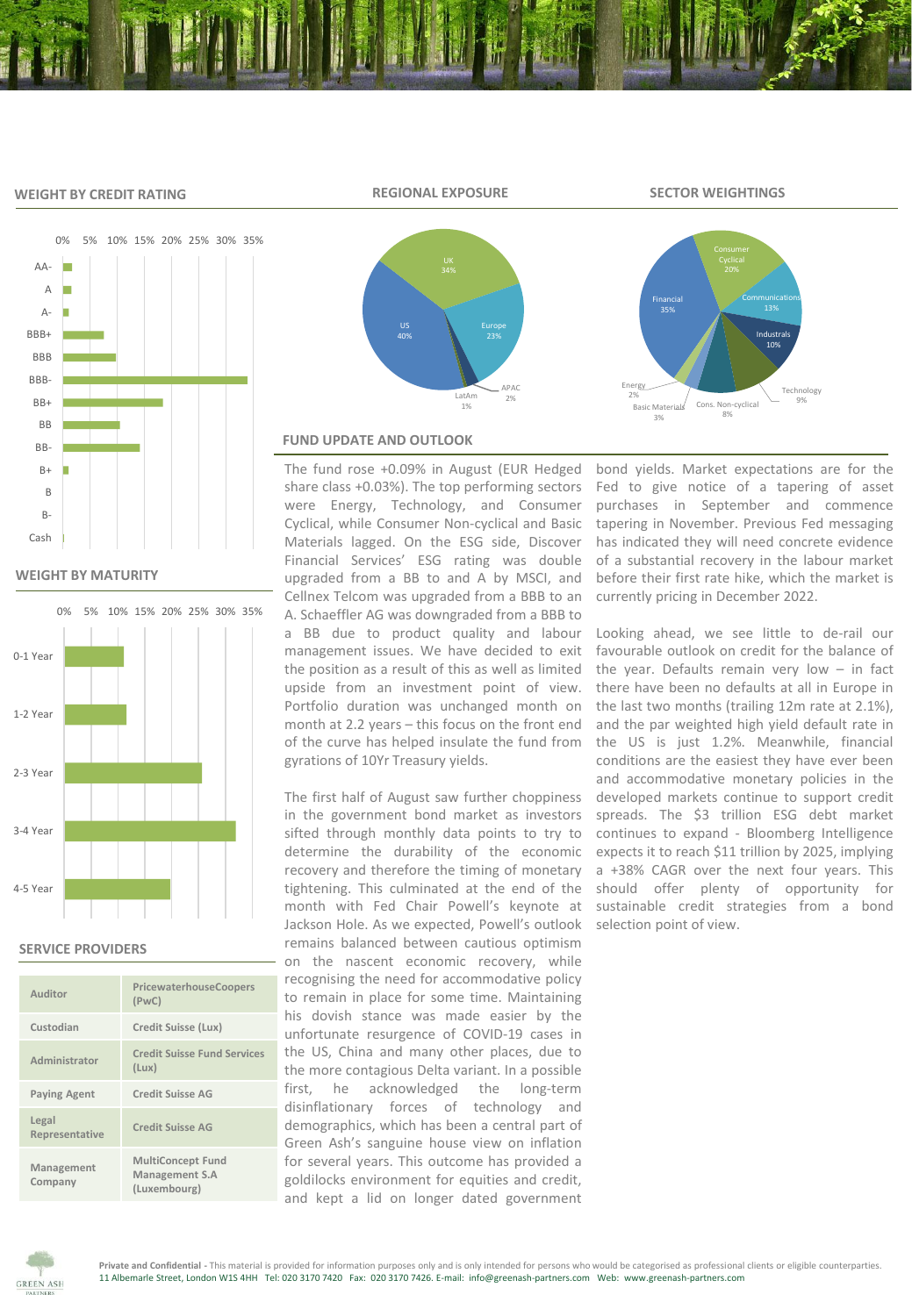## **WEIGHT BY CREDIT RATING**



**WEIGHT BY MATURITY**



## **SERVICE PROVIDERS**

| Auditor                 | PricewaterhouseCoopers<br>(PWC)                            |
|-------------------------|------------------------------------------------------------|
| Custodian               | Credit Suisse (Lux)                                        |
| Administrator           | <b>Credit Suisse Fund Services</b><br>(Lux)                |
| <b>Paying Agent</b>     | <b>Credit Suisse AG</b>                                    |
| Legal<br>Representative | Credit Suisse AG                                           |
| Management<br>Company   | <b>MultiConcept Fund</b><br>Management S.A<br>(Luxembourg) |



#### **REGIONAL EXPOSURE SECTOR WEIGHTINGS**



# **FUND UPDATE AND OUTLOOK**

The fund rose +0.09% in August (EUR Hedged share class +0.03%). The top performing sectors were Energy, Technology, and Consumer Cyclical, while Consumer Non-cyclical and Basic Materials lagged. On the ESG side, Discover Financial Services' ESG rating was double upgraded from a BB to and A by MSCI, and Cellnex Telcom was upgraded from a BBB to an A. Schaeffler AG was downgraded from a BBB to a BB due to product quality and labour management issues. We have decided to exit the position as a result of this as well as limited upside from an investment point of view. Portfolio duration was unchanged month on month at 2.2 years – this focus on the front end of the curve has helped insulate the fund from gyrations of 10Yr Treasury yields.

The first half of August saw further choppiness in the government bond market as investors sifted through monthly data points to try to determine the durability of the economic recovery and therefore the timing of monetary tightening. This culminated at the end of the month with Fed Chair Powell's keynote at Jackson Hole. As we expected, Powell's outlook remains balanced between cautious optimism on the nascent economic recovery, while recognising the need for accommodative policy to remain in place for some time. Maintaining his dovish stance was made easier by the unfortunate resurgence of COVID-19 cases in the US, China and many other places, due to the more contagious Delta variant. In a possible first, he acknowledged the long-term disinflationary forces of technology and demographics, which has been a central part of Green Ash's sanguine house view on inflation for several years. This outcome has provided a goldilocks environment for equities and credit, and kept a lid on longer dated government

bond yields. Market expectations are for the Fed to give notice of a tapering of asset purchases in September and commence tapering in November. Previous Fed messaging has indicated they will need concrete evidence of a substantial recovery in the labour market before their first rate hike, which the market is currently pricing in December 2022.

Looking ahead, we see little to de-rail our favourable outlook on credit for the balance of the year. Defaults remain very low  $-$  in fact there have been no defaults at all in Europe in the last two months (trailing 12m rate at 2.1%), and the par weighted high yield default rate in the US is just 1.2%. Meanwhile, financial conditions are the easiest they have ever been and accommodative monetary policies in the developed markets continue to support credit spreads. The \$3 trillion ESG debt market continues to expand - Bloomberg Intelligence expects it to reach \$11 trillion by 2025, implying a +38% CAGR over the next four years. This should offer plenty of opportunity for sustainable credit strategies from a bond selection point of view.